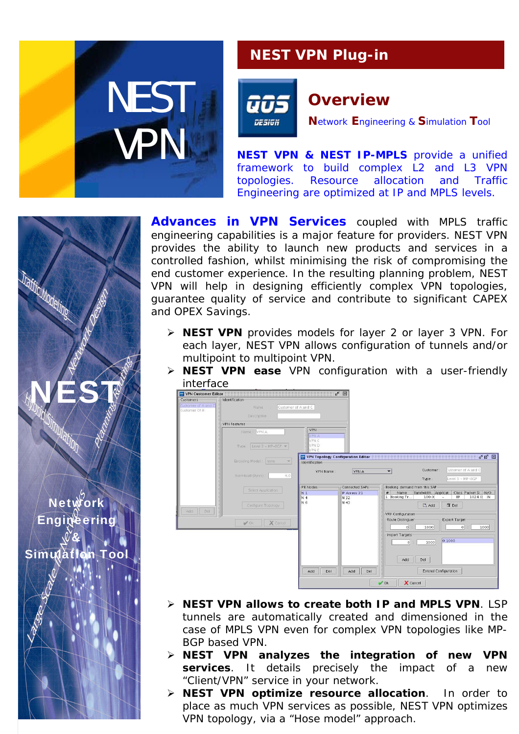

## **NEST VPN Plug-in**



## **Overview**

**N**etwork **E**ngineering & **S**imulation **T**ool

**NEST VPN & NEST IP-MPLS** provide a unified framework to build complex L2 and L3 VPN topologies. Resource allocation and Traffic Engineering are optimized at IP and MPLS levels.

*Advances in VPN Services* coupled with MPLS traffic engineering capabilities is a major feature for providers. NEST VPN provides the ability to launch new products and services in a controlled fashion, whilst minimising the risk of compromising the end customer experience. In the resulting planning problem, NEST VPN will help in designing efficiently complex VPN topologies, guarantee quality of service and contribute to significant CAPEX and OPEX Savings.

- ¾ **NEST VPN** provides models for layer 2 or layer 3 VPN. For each layer, NEST VPN allows configuration of tunnels and/or multipoint to multipoint VPN.
- ¾ **NEST VPN ease** VPN configuration with a user-friendly interface



- ¾ **NEST VPN allows to create both IP and MPLS VPN**. LSP tunnels are automatically created and dimensioned in the case of MPLS VPN even for complex VPN topologies like MP-BGP based VPN.
- ¾ **NEST VPN analyzes the integration of new VPN services**. It details precisely the impact of a new "Client/VPN" service in your network.
- ¾ **NEST VPN optimize resource allocation**. In order to place as much VPN services as possible, NEST VPN optimizes VPN topology, via a "Hose model" approach.

**Network** Engineering & Simulation Too

NEST!

**Traffic Modeling**